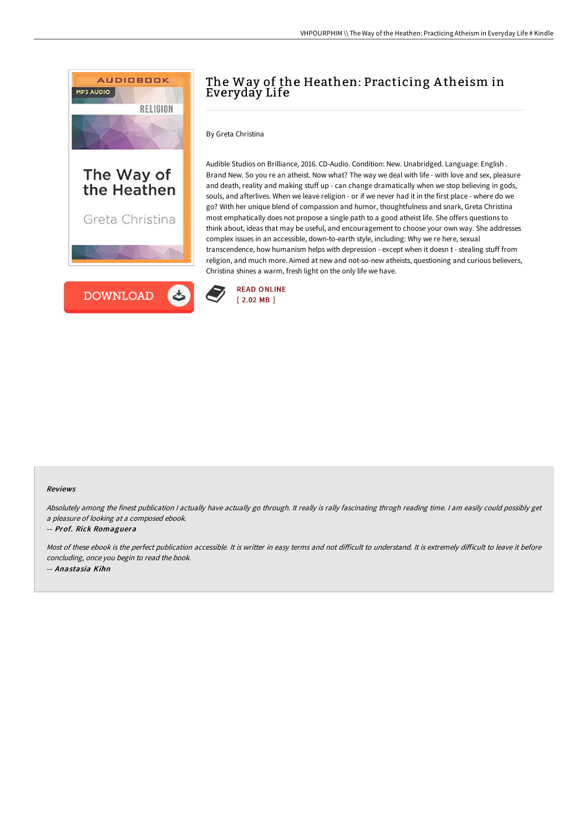



# The Way of the Heathen: Practicing A theism in Everyday Life

By Greta Christina

Audible Studios on Brilliance, 2016. CD-Audio. Condition: New. Unabridged. Language: English . Brand New. So you re an atheist. Now what? The way we deal with life - with love and sex, pleasure and death, reality and making stuff up - can change dramatically when we stop believing in gods, souls, and afterlives. When we leave religion - or if we never had it in the first place - where do we go? With her unique blend of compassion and humor, thoughtfulness and snark, Greta Christina most emphatically does not propose a single path to a good atheist life. She offers questions to think about, ideas that may be useful, and encouragement to choose your own way. She addresses complex issues in an accessible, down-to-earth style, including: Why we re here, sexual transcendence, how humanism helps with depression - except when it doesn t - stealing stuff from religion, and much more. Aimed at new and not-so-new atheists, questioning and curious believers, Christina shines a warm, fresh light on the only life we have.



#### Reviews

Absolutely among the finest publication I actually have actually go through. It really is rally fascinating throgh reading time. I am easily could possibly get <sup>a</sup> pleasure of looking at <sup>a</sup> composed ebook.

-- Prof. Rick Romaguera

Most of these ebook is the perfect publication accessible. It is writter in easy terms and not difficult to understand. It is extremely difficult to leave it before concluding, once you begin to read the book. -- Anastasia Kihn